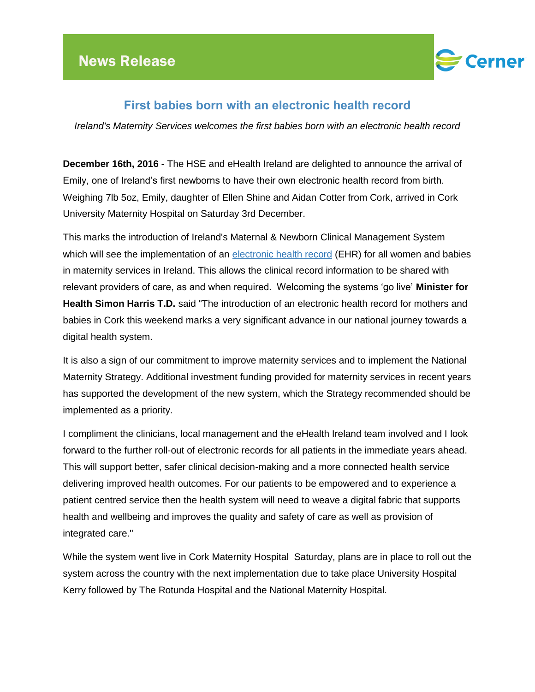## News Release



## **First babies born with an electronic health record**

*Ireland's Maternity Services welcomes the first babies born with an electronic health record*

**December 16th, 2016** - The HSE and eHealth Ireland are delighted to announce the arrival of Emily, one of Ireland's first newborns to have their own electronic health record from birth. Weighing 7lb 5oz, Emily, daughter of Ellen Shine and Aidan Cotter from Cork, arrived in Cork University Maternity Hospital on Saturday 3rd December.

This marks the introduction of Ireland's Maternal & Newborn Clinical Management System which will see the implementation of an [electronic health record](http://ehealthireland.ie/Strategic-Programmes/Electronic-Health-Record-EHR-/) (EHR) for all women and babies in maternity services in Ireland. This allows the clinical record information to be shared with relevant providers of care, as and when required. Welcoming the systems 'go live' **Minister for Health Simon Harris T.D.** said "The introduction of an electronic health record for mothers and babies in Cork this weekend marks a very significant advance in our national journey towards a digital health system.

It is also a sign of our commitment to improve maternity services and to implement the National Maternity Strategy. Additional investment funding provided for maternity services in recent years has supported the development of the new system, which the Strategy recommended should be implemented as a priority.

I compliment the clinicians, local management and the eHealth Ireland team involved and I look forward to the further roll-out of electronic records for all patients in the immediate years ahead. This will support better, safer clinical decision-making and a more connected health service delivering improved health outcomes. For our patients to be empowered and to experience a patient centred service then the health system will need to weave a digital fabric that supports health and wellbeing and improves the quality and safety of care as well as provision of integrated care."

While the system went live in Cork Maternity Hospital Saturday, plans are in place to roll out the system across the country with the next implementation due to take place University Hospital Kerry followed by The Rotunda Hospital and the National Maternity Hospital.